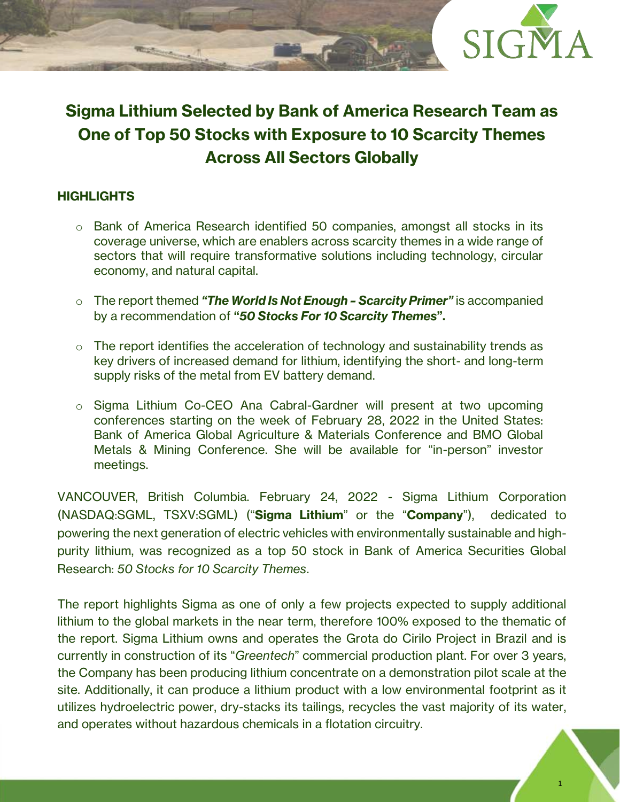

# **Sigma Lithium Selected by Bank of America Research Team as One of Top 50 Stocks with Exposure to 10 Scarcity Themes Across All Sectors Globally**

## **HIGHLIGHTS**

- o Bank of America Research identified 50 companies, amongst all stocks in its coverage universe, which are enablers across scarcity themes in a wide range of sectors that will require transformative solutions including technology, circular economy, and natural capital.
- o The report themed *"The World Is Not Enough – Scarcity Primer"* is accompanied by a recommendation of **"***50 Stocks For 10 Scarcity Themes***".**
- o The report identifies the acceleration of technology and sustainability trends as key drivers of increased demand for lithium, identifying the short- and long-term supply risks of the metal from EV battery demand.
- o Sigma Lithium Co-CEO Ana Cabral-Gardner will present at two upcoming conferences starting on the week of February 28, 2022 in the United States: Bank of America Global Agriculture & Materials Conference and BMO Global Metals & Mining Conference. She will be available for "in-person" investor meetings.

VANCOUVER, British Columbia. February 24, 2022 - Sigma Lithium Corporation (NASDAQ:SGML, TSXV:SGML) ("**Sigma Lithium**" or the "**Company**"), dedicated to powering the next generation of electric vehicles with environmentally sustainable and highpurity lithium, was recognized as a top 50 stock in Bank of America Securities Global Research: *50 Stocks for 10 Scarcity Themes*.

The report highlights Sigma as one of only a few projects expected to supply additional lithium to the global markets in the near term, therefore 100% exposed to the thematic of the report. Sigma Lithium owns and operates the Grota do Cirilo Project in Brazil and is currently in construction of its "*Greentech*" commercial production plant. For over 3 years, the Company has been producing lithium concentrate on a demonstration pilot scale at the site. Additionally, it can produce a lithium product with a low environmental footprint as it utilizes hydroelectric power, dry-stacks its tailings, recycles the vast majority of its water, and operates without hazardous chemicals in a flotation circuitry.

1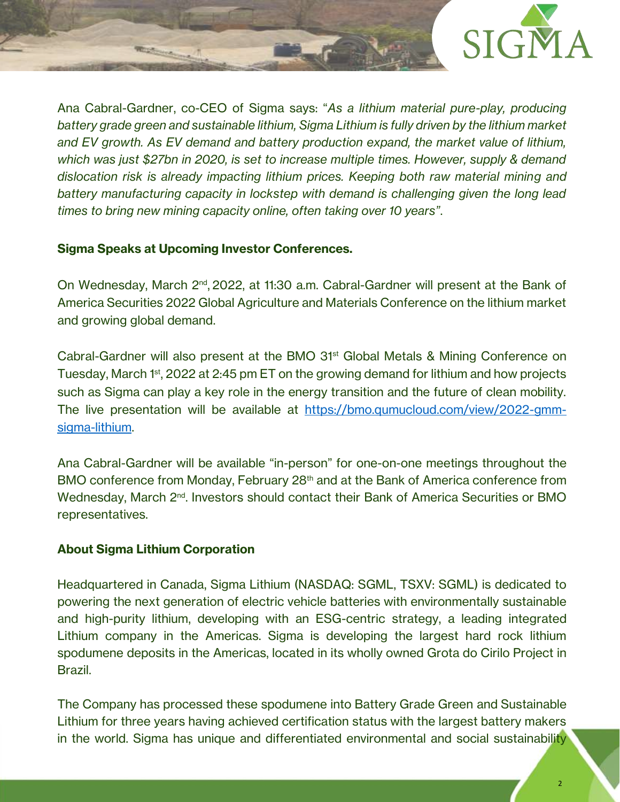

Ana Cabral-Gardner, co-CEO of Sigma says: "*As a lithium material pure-play, producing battery grade green and sustainable lithium, Sigma Lithium is fully driven by the lithium market and EV growth. As EV demand and battery production expand, the market value of lithium, which was just \$27bn in 2020, is set to increase multiple times. However, supply & demand dislocation risk is already impacting lithium prices. Keeping both raw material mining and battery manufacturing capacity in lockstep with demand is challenging given the long lead times to bring new mining capacity online, often taking over 10 years"*.

### **Sigma Speaks at Upcoming Investor Conferences.**

On Wednesday, March 2<sup>nd</sup>, 2022, at 11:30 a.m. Cabral-Gardner will present at the Bank of America Securities 2022 Global Agriculture and Materials Conference on the lithium market and growing global demand.

Cabral-Gardner will also present at the BMO 31st Global Metals & Mining Conference on Tuesday, March 1<sup>st</sup>, 2022 at 2:45 pm ET on the growing demand for lithium and how projects such as Sigma can play a key role in the energy transition and the future of clean mobility. The live presentation will be available at [https://bmo.qumucloud.com/view/2022-gmm](https://bmo.qumucloud.com/view/2022-gmm-sigma-lithium)[sigma-lithium.](https://bmo.qumucloud.com/view/2022-gmm-sigma-lithium) 

Ana Cabral-Gardner will be available "in-person" for one-on-one meetings throughout the BMO conference from Monday, February 28<sup>th</sup> and at the Bank of America conference from Wednesday, March 2<sup>nd</sup>. Investors should contact their Bank of America Securities or BMO representatives.

#### **About Sigma Lithium Corporation**

Headquartered in Canada, Sigma Lithium (NASDAQ: SGML, TSXV: SGML) is dedicated to powering the next generation of electric vehicle batteries with environmentally sustainable and high-purity lithium, developing with an ESG-centric strategy, a leading integrated Lithium company in the Americas. Sigma is developing the largest hard rock lithium spodumene deposits in the Americas, located in its wholly owned Grota do Cirilo Project in Brazil.

The Company has processed these spodumene into Battery Grade Green and Sustainable Lithium for three years having achieved certification status with the largest battery makers in the world. Sigma has unique and differentiated environmental and social sustainability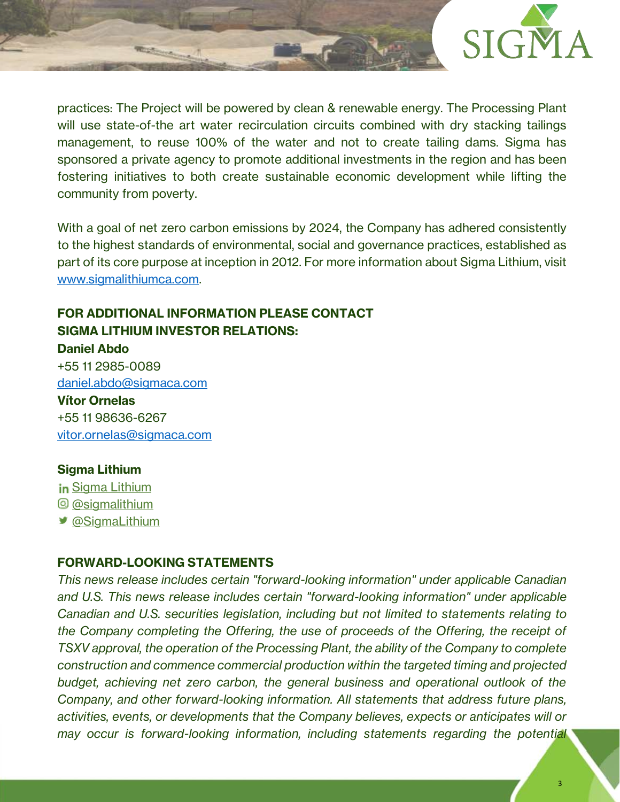

practices: The Project will be powered by clean & renewable energy. The Processing Plant will use state-of-the art water recirculation circuits combined with dry stacking tailings management, to reuse 100% of the water and not to create tailing dams. Sigma has sponsored a private agency to promote additional investments in the region and has been fostering initiatives to both create sustainable economic development while lifting the community from poverty.

With a goal of net zero carbon emissions by 2024, the Company has adhered consistently to the highest standards of environmental, social and governance practices, established as part of its core purpose at inception in 2012. For more information about Sigma Lithium, visit [www.sigmalithiumca.com.](http://www.sigmalithiumca.com/)

# **FOR ADDITIONAL INFORMATION PLEASE CONTACT SIGMA LITHIUM INVESTOR RELATIONS: Daniel Abdo**

+55 11 2985-0089 [daniel.abdo@sigmaca.com](mailto:daniel.abdo@sigmaca.com)

**Vítor Ornelas** +55 11 98636-6267 [vitor.ornelas@sigmaca.com](mailto:vitor.ornelas@sigmaca.com)

## **Sigma Lithium**

**in [Sigma Lithium](https://www.linkedin.com/company/sigma-lithium-resources)** [@sigmalithium](https://www.instagram.com/sigmalithium/) [@SigmaLithium](https://twitter.com/SigmaLithium)

#### **FORWARD-LOOKING STATEMENTS**

*This news release includes certain "forward-looking information" under applicable Canadian and U.S. This news release includes certain "forward-looking information" under applicable Canadian and U.S. securities legislation, including but not limited to statements relating to the Company completing the Offering, the use of proceeds of the Offering, the receipt of TSXV approval, the operation of the Processing Plant, the ability of the Company to complete construction and commence commercial production within the targeted timing and projected budget, achieving net zero carbon, the general business and operational outlook of the Company, and other forward-looking information. All statements that address future plans, activities, events, or developments that the Company believes, expects or anticipates will or may occur is forward-looking information, including statements regarding the potential*